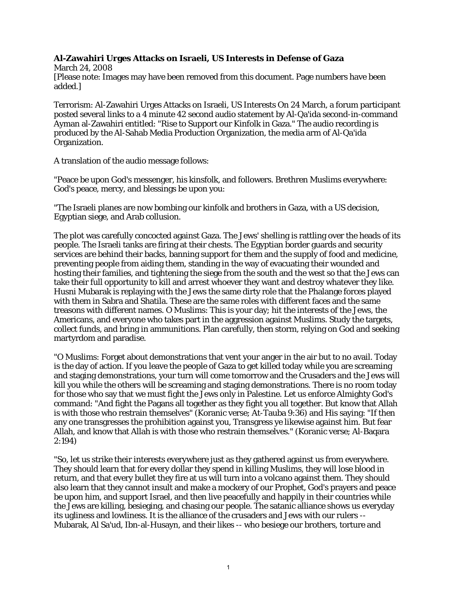## **Al-Zawahiri Urges Attacks on Israeli, US Interests in Defense of Gaza**

March 24, 2008 [Please note: Images may have been removed from this document. Page numbers have been added.]

Terrorism: Al-Zawahiri Urges Attacks on Israeli, US Interests On 24 March, a forum participant posted several links to a 4 minute 42 second audio statement by Al-Qa'ida second-in-command Ayman al-Zawahiri entitled: "Rise to Support our Kinfolk in Gaza." The audio recording is produced by the Al-Sahab Media Production Organization, the media arm of Al-Qa'ida Organization.

A translation of the audio message follows:

"Peace be upon God's messenger, his kinsfolk, and followers. Brethren Muslims everywhere: God's peace, mercy, and blessings be upon you:

"The Israeli planes are now bombing our kinfolk and brothers in Gaza, with a US decision, Egyptian siege, and Arab collusion.

The plot was carefully concocted against Gaza. The Jews' shelling is rattling over the heads of its people. The Israeli tanks are firing at their chests. The Egyptian border guards and security services are behind their backs, banning support for them and the supply of food and medicine, preventing people from aiding them, standing in the way of evacuating their wounded and hosting their families, and tightening the siege from the south and the west so that the Jews can take their full opportunity to kill and arrest whoever they want and destroy whatever they like. Husni Mubarak is replaying with the Jews the same dirty role that the Phalange forces played with them in Sabra and Shatila. These are the same roles with different faces and the same treasons with different names. O Muslims: This is your day; hit the interests of the Jews, the Americans, and everyone who takes part in the aggression against Muslims. Study the targets, collect funds, and bring in ammunitions. Plan carefully, then storm, relying on God and seeking martyrdom and paradise.

"O Muslims: Forget about demonstrations that vent your anger in the air but to no avail. Today is the day of action. If you leave the people of Gaza to get killed today while you are screaming and staging demonstrations, your turn will come tomorrow and the Crusaders and the Jews will kill you while the others will be screaming and staging demonstrations. There is no room today for those who say that we must fight the Jews only in Palestine. Let us enforce Almighty God's command: "And fight the Pagans all together as they fight you all together. But know that Allah is with those who restrain themselves" (Koranic verse; At-Tauba 9:36) and His saying: "If then any one transgresses the prohibition against you, Transgress ye likewise against him. But fear Allah, and know that Allah is with those who restrain themselves." (Koranic verse; Al-Baqara 2:194)

"So, let us strike their interests everywhere just as they gathered against us from everywhere. They should learn that for every dollar they spend in killing Muslims, they will lose blood in return, and that every bullet they fire at us will turn into a volcano against them. They should also learn that they cannot insult and make a mockery of our Prophet, God's prayers and peace be upon him, and support Israel, and then live peacefully and happily in their countries while the Jews are killing, besieging, and chasing our people. The satanic alliance shows us everyday its ugliness and lowliness. It is the alliance of the crusaders and Jews with our rulers -- Mubarak, Al Sa'ud, Ibn-al-Husayn, and their likes -- who besiege our brothers, torture and